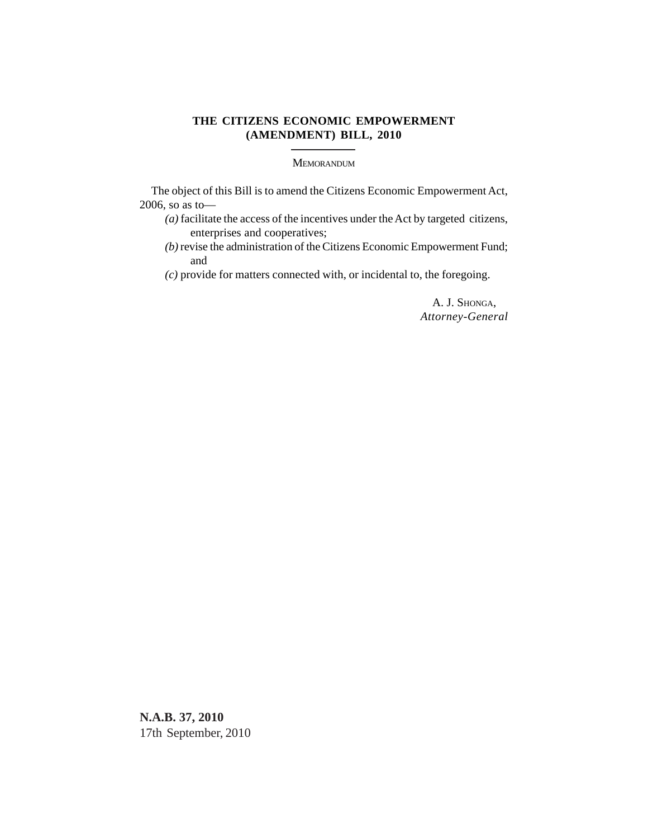## **THE CITIZENS ECONOMIC EMPOWERMENT (AMENDMENT) BILL, 2010**

MEMORANDUM

The object of this Bill is to amend the Citizens Economic Empowerment Act, 2006, so as to—

- *(a)* facilitate the access of the incentives under the Act by targeted citizens, enterprises and cooperatives;
- *(b)* revise the administration of the Citizens Economic Empowerment Fund; and
- *(c)* provide for matters connected with, or incidental to, the foregoing.

A. J. SHONGA, *Attorney-General*

**N.A.B. 37, 2010** 17th September, 2010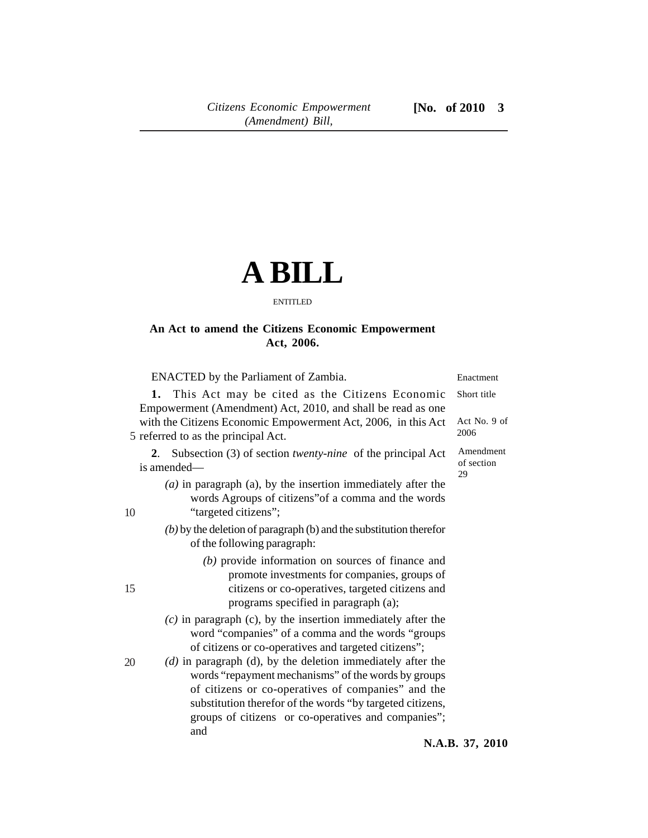## **A BILL**

## ENTITLED

## **An Act to amend the Citizens Economic Empowerment Act, 2006.**

ENACTED by the Parliament of Zambia.

**1.** This Act may be cited as the Citizens Economic Empowerment (Amendment) Act, 2010, and shall be read as one with the Citizens Economic Empowerment Act, 2006, in this Act 5 referred to as the principal Act. Short title

2. Subsection (3) of section *twenty-nine* of the principal Ac is amended—

- *(a)* in paragraph (a), by the insertion immediately after the words Agroups of citizens"of a comma and the words "targeted citizens";
- *(b)* by the deletion of paragraph (b) and the substitution therefor of the following paragraph:
	- *(b)* provide information on sources of finance and promote investments for companies, groups of citizens or co-operatives, targeted citizens and programs specified in paragraph (a);
- *(c)* in paragraph (c), by the insertion immediately after the word "companies" of a comma and the words "groups of citizens or co-operatives and targeted citizens";
- *(d)* in paragraph (d), by the deletion immediately after the words "repayment mechanisms" of the words by groups of citizens or co-operatives of companies" and the substitution therefor of the words "by targeted citizens, groups of citizens or co-operatives and companies"; and

| t | Act No. 9 of<br>2006    |
|---|-------------------------|
| t | Amendment<br>of section |

Enactment

29

15

20

10

**N.A.B. 37, 2010**